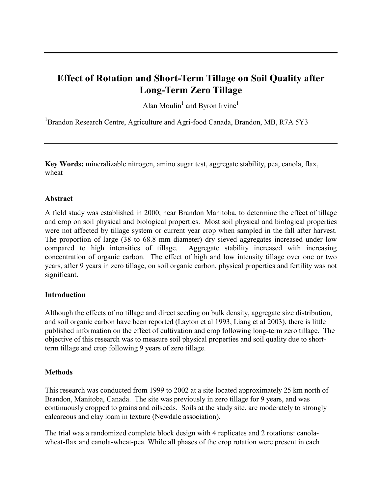# **Effect of Rotation and Short-Term Tillage on Soil Quality after Long-Term Zero Tillage**

Alan Moulin<sup>1</sup> and Byron Irvine<sup>1</sup>

<sup>1</sup>Brandon Research Centre, Agriculture and Agri-food Canada, Brandon, MB, R7A 5Y3

**Key Words:** mineralizable nitrogen, amino sugar test, aggregate stability, pea, canola, flax, wheat

### **Abstract**

A field study was established in 2000, near Brandon Manitoba, to determine the effect of tillage and crop on soil physical and biological properties. Most soil physical and biological properties were not affected by tillage system or current year crop when sampled in the fall after harvest. The proportion of large (38 to 68.8 mm diameter) dry sieved aggregates increased under low compared to high intensities of tillage. Aggregate stability increased with increasing concentration of organic carbon. The effect of high and low intensity tillage over one or two years, after 9 years in zero tillage, on soil organic carbon, physical properties and fertility was not significant.

### **Introduction**

Although the effects of no tillage and direct seeding on bulk density, aggregate size distribution, and soil organic carbon have been reported (Layton et al 1993, Liang et al 2003), there is little published information on the effect of cultivation and crop following long-term zero tillage. The objective of this research was to measure soil physical properties and soil quality due to shortterm tillage and crop following 9 years of zero tillage.

### **Methods**

This research was conducted from 1999 to 2002 at a site located approximately 25 km north of Brandon, Manitoba, Canada. The site was previously in zero tillage for 9 years, and was continuously cropped to grains and oilseeds. Soils at the study site, are moderately to strongly calcareous and clay loam in texture (Newdale association).

The trial was a randomized complete block design with 4 replicates and 2 rotations: canolawheat-flax and canola-wheat-pea. While all phases of the crop rotation were present in each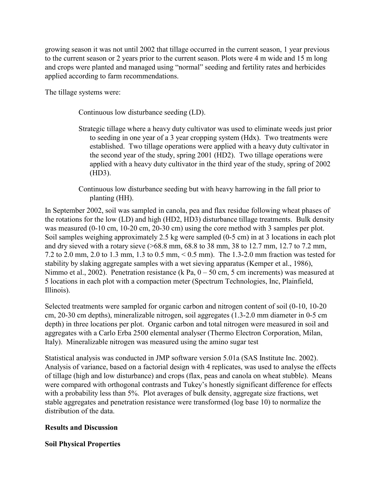growing season it was not until 2002 that tillage occurred in the current season, 1 year previous to the current season or 2 years prior to the current season. Plots were 4 m wide and 15 m long and crops were planted and managed using "normal" seeding and fertility rates and herbicides applied according to farm recommendations.

The tillage systems were:

Continuous low disturbance seeding (LD).

Strategic tillage where a heavy duty cultivator was used to eliminate weeds just prior to seeding in one year of a 3 year cropping system (Hdx). Two treatments were established. Two tillage operations were applied with a heavy duty cultivator in the second year of the study, spring 2001 (HD2). Two tillage operations were applied with a heavy duty cultivator in the third year of the study, spring of 2002 (HD3).

Continuous low disturbance seeding but with heavy harrowing in the fall prior to planting (HH).

In September 2002, soil was sampled in canola, pea and flax residue following wheat phases of the rotations for the low (LD) and high (HD2, HD3) disturbance tillage treatments. Bulk density was measured (0-10 cm, 10-20 cm, 20-30 cm) using the core method with 3 samples per plot. Soil samples weighing approximately 2.5 kg were sampled (0-5 cm) in at 3 locations in each plot and dry sieved with a rotary sieve (>68.8 mm, 68.8 to 38 mm, 38 to 12.7 mm, 12.7 to 7.2 mm, 7.2 to 2.0 mm, 2.0 to 1.3 mm, 1.3 to 0.5 mm, < 0.5 mm). The 1.3-2.0 mm fraction was tested for stability by slaking aggregate samples with a wet sieving apparatus (Kemper et al., 1986), Nimmo et al., 2002). Penetration resistance (k Pa, 0 – 50 cm, 5 cm increments) was measured at 5 locations in each plot with a compaction meter (Spectrum Technologies, Inc, Plainfield, Illinois).

Selected treatments were sampled for organic carbon and nitrogen content of soil (0-10, 10-20 cm, 20-30 cm depths), mineralizable nitrogen, soil aggregates (1.3-2.0 mm diameter in 0-5 cm depth) in three locations per plot. Organic carbon and total nitrogen were measured in soil and aggregates with a Carlo Erba 2500 elemental analyser (Thermo Electron Corporation, Milan, Italy). Mineralizable nitrogen was measured using the amino sugar test

Statistical analysis was conducted in JMP software version 5.01a (SAS Institute Inc. 2002). Analysis of variance, based on a factorial design with 4 replicates, was used to analyse the effects of tillage (high and low disturbance) and crops (flax, peas and canola on wheat stubble). Means were compared with orthogonal contrasts and Tukey's honestly significant difference for effects with a probability less than 5%. Plot averages of bulk density, aggregate size fractions, wet stable aggregates and penetration resistance were transformed (log base 10) to normalize the distribution of the data.

## **Results and Discussion**

## **Soil Physical Properties**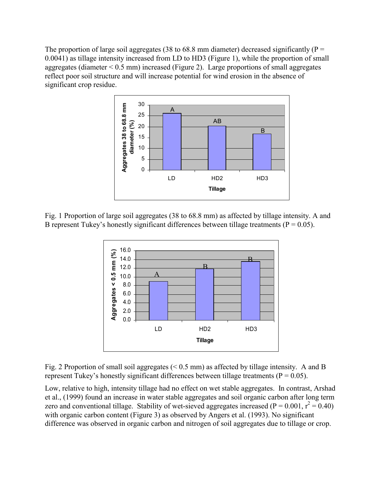The proportion of large soil aggregates (38 to 68.8 mm diameter) decreased significantly ( $P =$ 0.0041) as tillage intensity increased from LD to HD3 (Figure 1), while the proportion of small aggregates (diameter  $\leq 0.5$  mm) increased (Figure 2). Large proportions of small aggregates reflect poor soil structure and will increase potential for wind erosion in the absence of significant crop residue.



Fig. 1 Proportion of large soil aggregates (38 to 68.8 mm) as affected by tillage intensity. A and B represent Tukey's honestly significant differences between tillage treatments ( $P = 0.05$ ).



Fig. 2 Proportion of small soil aggregates  $(< 0.5$  mm) as affected by tillage intensity. A and B represent Tukey's honestly significant differences between tillage treatments ( $P = 0.05$ ).

Low, relative to high, intensity tillage had no effect on wet stable aggregates. In contrast, Arshad et al., (1999) found an increase in water stable aggregates and soil organic carbon after long term zero and conventional tillage. Stability of wet-sieved aggregates increased ( $P = 0.001$ ,  $r^2 = 0.40$ ) with organic carbon content (Figure 3) as observed by Angers et al. (1993). No significant difference was observed in organic carbon and nitrogen of soil aggregates due to tillage or crop.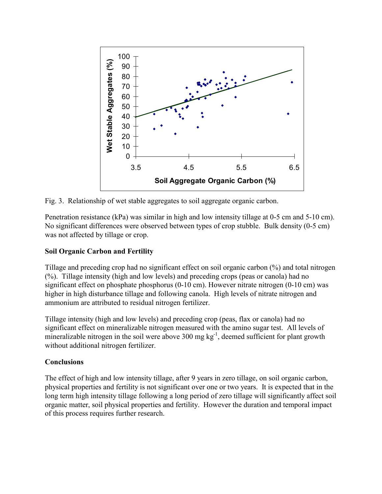

Fig. 3. Relationship of wet stable aggregates to soil aggregate organic carbon.

Penetration resistance (kPa) was similar in high and low intensity tillage at 0-5 cm and 5-10 cm). No significant differences were observed between types of crop stubble. Bulk density (0-5 cm) was not affected by tillage or crop.

## **Soil Organic Carbon and Fertility**

Tillage and preceding crop had no significant effect on soil organic carbon (%) and total nitrogen (%). Tillage intensity (high and low levels) and preceding crops (peas or canola) had no significant effect on phosphate phosphorus (0-10 cm). However nitrate nitrogen (0-10 cm) was higher in high disturbance tillage and following canola. High levels of nitrate nitrogen and ammonium are attributed to residual nitrogen fertilizer.

Tillage intensity (high and low levels) and preceding crop (peas, flax or canola) had no significant effect on mineralizable nitrogen measured with the amino sugar test. All levels of mineralizable nitrogen in the soil were above 300 mg  $kg^{-1}$ , deemed sufficient for plant growth without additional nitrogen fertilizer.

## **Conclusions**

The effect of high and low intensity tillage, after 9 years in zero tillage, on soil organic carbon, physical properties and fertility is not significant over one or two years. It is expected that in the long term high intensity tillage following a long period of zero tillage will significantly affect soil organic matter, soil physical properties and fertility. However the duration and temporal impact of this process requires further research.